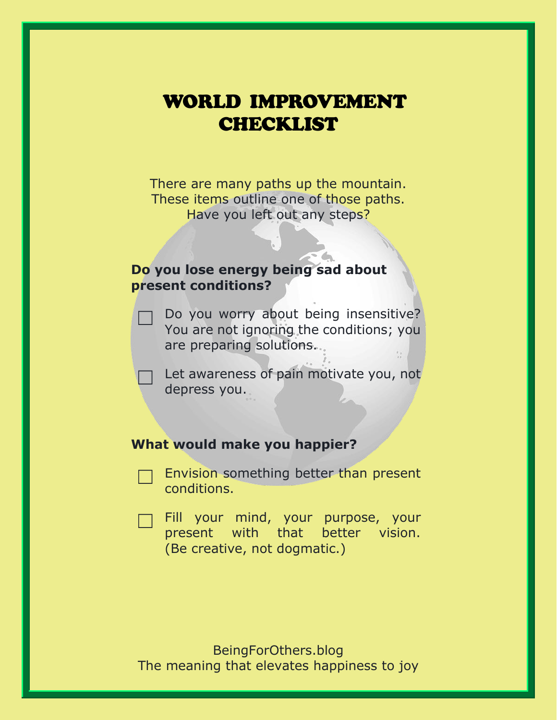# WORLD IMPROVEMENT **CHECKLIST**

There are many paths up the mountain. These items outline one of those paths. Have you left out any steps?

## **Do you lose energy being sad about present conditions?**

- Do you worry about being insensitive? You are not ignoring the conditions; you are preparing solutions.
	- Let awareness of pain motivate you, not depress you.

## **What would make you happier?**

- Envision something better than present conditions.
- Fill your mind, your purpose, your present with that better vision. (Be creative, not dogmatic.)

BeingForOthers.blog The meaning that elevates happiness to joy